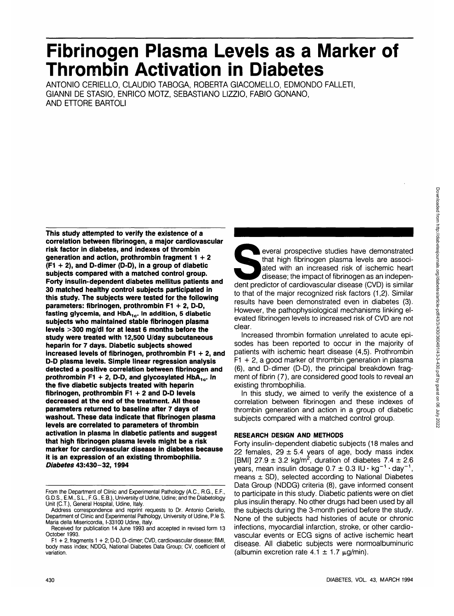# **Fibrinogen Plasma Levels as a Marker of Thrombin Activation in Diabetes**

ANTONIO CERIELLO, CLAUDIO TABOGA, ROBERTA GIACOMELLO, EDMONDO FALLETI, GIANNI DE STASIO, ENRICO MOTZ, SEBASTIANO **LIZZIO.** FABIO GONANO, AND ETTORE BARTOLI

**This study attempted to verify the existence of a correlation between fibrinogen, a major cardiovascular risk factor in diabetes, and indexes of thrombin generation and action, prothrombin fragment 1+ 2 (F1 + 2), and D-dimer (D-D), in a group of diabetic subjects compared with a matched control group. Forty insulin-dependent diabetes mellitus patients and 30 matched healthy control subjects participated in this study. The subjects were tested for the following parameters: fibrinogen, prothrombin F1 + 2, D-D,** fasting glycemia, and HbA<sub>1c</sub>. In addition, 5 diabetic **subjects who maintained stable fibrinogen plasma levels >300 mg/dl for at least 6 months before the study were treated with 12,500 U/day subcutaneous heparin for 7 days. Diabetic subjects showed increased levels of fibrinogen, prothrombin F1 + 2, and D-D plasma levels. Simple linear regression analysis detected a positive correlation between fibrinogen and** prothrombin F1 + 2, D-D, and glycosylated  $HbA_{1c}$ . In **the five diabetic subjects treated with heparin fibrinogen, prothrombin F1 + 2 and D-D levels decreased at the end of the treatment. All these parameters returned to baseline after 7 days of washout. These data indicate that fibrinogen plasma levels are correlated to parameters of thrombin activation in plasma in diabetic patients and suggest that high fibrinogen plasma levels might be a risk marker for cardiovascular disease in diabetes because it is an expression of an existing thrombophilia. Diabetes 43:430-32,1994**

everal prospective studies have demonstrated<br>
that high fibrinogen plasma levels are associ-<br>
ated with an increased risk of ischemic heart<br>
disease; the impact of fibrinogen as an indepen-<br>
dent predictor of cardiovascula that high fibrinogen plasma levels are associated with an increased risk of ischemic heart disease; the impact of fibrinogen as an indepento that of the major recognized risk factors (1,2). Similar results have been demonstrated even in diabetes (3). However, the pathophysiological mechanisms linking elevated fibrinogen levels to increased risk of CVD are not clear.

Increased thrombin formation unrelated to acute episodes has been reported to occur in the majority of patients with ischemic heart disease (4,5). Prothrombin  $F1 + 2$ , a good marker of thrombin generation in plasma (6), and D-dimer (D-D), the principal breakdown fragment of fibrin (7), are considered good tools to reveal an existing thrombophilia.

In this study, we aimed to verify the existence of a correlation between fibrinogen and these indexes of thrombin generation and action in a group of diabetic subjects compared with a matched control group.

# **RESEARCH DESIGN AND METHODS**

Forty insulin-dependent diabetic subjects (18 males and 22 females,  $29 \pm 5.4$  years of age, body mass index [BMI] 27.9  $\pm$  3.2 kg/m<sup>2</sup>, duration of diabetes 7.4  $\pm$  2.6 years, mean insulin dosage  $0.7 \pm 0.3$  IU · kg<sup>-1</sup> · day<sup>-1</sup> , means  $\pm$  SD), selected according to National Diabetes Data Group (NDDG) criteria (8), gave informed consent to participate in this study. Diabetic patients were on diet plus insulin therapy. No other drugs had been used by all the subjects during the 3-month period before the study. None of the subjects had histories of acute or chronic infections, myocardial infarction, stroke, or other cardiovascular events or ECG signs of active ischemic heart disease. All diabetic subjects were normoalbuminuric (albumin excretion rate  $4.1 \pm 1.7 \mu g/min$ ).

From the Department of Clinic and Experimental Pathology (A.C., R.G., E.F., G.D.S., E.M., S.L., F.G., E.B.), University of Udine, Udine; and the Diabetology Unit (C.T.), General Hospital, Udine, Italy.

Address correspondence and reprint requests to Dr. Antonio Ceriello, Department of Clinic and Experimental Pathology, University of Udine, P.le S. Maria della Misericordia, 1-33100 Udine, Italy.

Received for publication 14 June 1993 and accepted in revised form 13 October 1993.

F1 + 2, fragments 1 + 2; D-D, D-dimer; CVD, cardiovascular disease; BMI, body mass index; NDDG, National Diabetes Data Group; CV, coefficient of variation.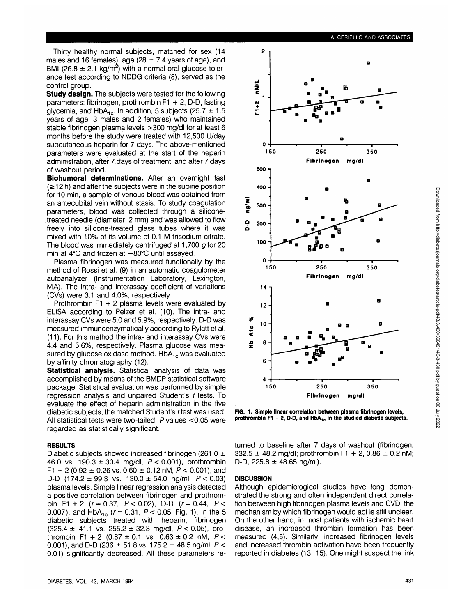Thirty healthy normal subjects, matched for sex (14 males and 16 females), age (28  $\pm$  7.4 years of age), and BMI (26.8  $\pm$  2.1 kg/m<sup>2</sup>) with a normal oral glucose tolerance test according to NDDG criteria (8), served as the control group.

**Study design.** The subjects were tested for the following parameters: fibrinogen, prothrombin F1 + 2, D-D, fasting glycemia, and HbA<sub>1c</sub>. In addition, 5 subjects (25.7  $\pm$  1.5 years of age, 3 males and 2 females) who maintained stable fibrinogen plasma levels >300 mg/dl for at least 6 months before the study were treated with 12,500 U/day subcutaneous heparin for 7 days. The above-mentioned parameters were evaluated at the start of the heparin administration, after 7 days of treatment, and after 7 days of washout period.

**Biohumoral determinations.** After an overnight fast  $(212 h)$  and after the subjects were in the supine position for 10 min, a sample of venous blood was obtained from an antecubital vein without stasis. To study coagulation parameters, blood was collected through a silicone- . treated needle (diameter, 2 mm) and was allowed to flow freely into silicone-treated glass tubes where it was mixed with 10% of its volume of 0.1 M trisodium citrate. The blood was immediately centrifuged at 1,700  $q$  for 20 min at  $4^{\circ}$ C and frozen at  $-80^{\circ}$ C until assayed.

Plasma fibrinogen was measured functionally by the method of Rossi et al. (9) in an automatic coagulometer autoanalyzer (Instrumentation Laboratory, Lexington, MA). The intra- and interassay coefficient of variations (CVs) were 3.1 and 4.0%, respectively.

Prothrombin F1 + 2 plasma levels were evaluated by ELISA according to Pelzer et al. (10). The intra- and interassay CVs were 5.0 and 5.9%, respectively. D-D was measured immunoenzymatically according to Rylatt et al. (11). For this method the intra- and interassay CVs were 4.4 and 5.6%, respectively. Plasma glucose was measured by glucose oxidase method.  $HbA_{1c}$  was evaluated by affinity chromatography (12).

**Statistical analysis.** Statistical analysis of data was accomplished by means of the BMDP statistical software package. Statistical evaluation was performed by simple regression analysis and unpaired Student's t tests. To evaluate the effect of heparin administration in the five diabetic subjects, the matched Student's t test was used. All statistical tests were two-tailed.  $P$  values <0.05 were regarded as statistically significant.

### **RESULTS**

Diabetic subjects showed increased fibrinogen (261.0  $\pm$ 46.0 vs.  $190.3 \pm 30.4$  mg/dl,  $P < 0.001$ ), prothrombin F1 + 2 (0.92  $\pm$  0.26 vs. 0.60  $\pm$  0.12 nM, P < 0.001), and D-D  $(174.2 \pm 99.3 \text{ vs. } 130.0 \pm 54.0 \text{ na/ml. } P < 0.03)$ plasma levels. Simple linear regression analysis detected a positive correlation between fibrinogen and prothrombin F1 + 2 ( $r = 0.37$ ,  $P < 0.02$ ), D-D ( $r = 0.44$ ,  $P <$ 0.007), and  $HbA_{1c}$  ( $r = 0.31$ ,  $P < 0.05$ ; Fig. 1). In the 5 diabetic subjects treated with heparin, fibrinogen  $(325.4 \pm 41.1 \text{ vs. } 255.2 \pm 32.3 \text{ mg/dl}, P < 0.05)$ , prothrombin F1 + 2 (0.87  $\pm$  0.1 vs. 0.63  $\pm$  0.2 nM, P < 0.001), and D-D (236  $\pm$  51.8 vs. 175.2  $\pm$  48.5 ng/ml, P < 0.01) significantly decreased. All these parameters re-





FIG. 1. Simple linear correlation between plasma fibrinogen levels, prothrombin F1 + 2, D-D, and HbA<sub>1c</sub> in the studied diabetic subjects.

turned to baseline after 7 days of washout (fibrinogen,  $332.5 \pm 48.2$  mg/dl; prothrombin F1 + 2, 0.86  $\pm$  0.2 nM; D-D,  $225.8 \pm 48.65$  ng/ml).

## **DISCUSSION**

Although epidemiological studies have long demonstrated the strong and often independent direct correlation between high fibrinogen plasma levels and CVD, the mechanism by which fibrinogen would act is still unclear. On the other hand, in most patients with ischemic heart disease, an increased thrombin formation has been measured (4,5). Similarly, increased fibrinogen levels and increased thrombin activation have been frequently reported in diabetes (13-15). One might suspect the link